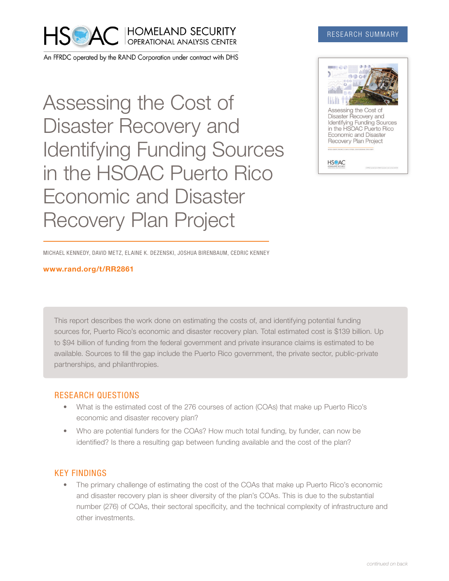

An FFRDC operated by the RAND Corporation under contract with DHS

Assessing the Cost of Disaster Recovery and Identifying Funding Sources in the HSOAC Puerto Rico Economic and Disaster Recovery Plan Project

### RESEARCH SUMMARY



MICHAEL KENNEDY, DAVID METZ, ELAINE K. DEZENSKI, JOSHUA BIRENBAUM, CEDRIC KENNEY

#### [www.rand.org/t/RR2861](http://www.rand.org/t/RR2861)

This report describes the work done on estimating the costs of, and identifying potential funding sources for, Puerto Rico's economic and disaster recovery plan. Total estimated cost is \$139 billion. Up to \$94 billion of funding from the federal government and private insurance claims is estimated to be available. Sources to fill the gap include the Puerto Rico government, the private sector, public-private partnerships, and philanthropies.

## RESEARCH QUESTIONS

- What is the estimated cost of the 276 courses of action (COAs) that make up Puerto Rico's economic and disaster recovery plan?
- Who are potential funders for the COAs? How much total funding, by funder, can now be identified? Is there a resulting gap between funding available and the cost of the plan?

## KEY FINDINGS

• The primary challenge of estimating the cost of the COAs that make up Puerto Rico's economic and disaster recovery plan is sheer diversity of the plan's COAs. This is due to the substantial number (276) of COAs, their sectoral specificity, and the technical complexity of infrastructure and other investments.